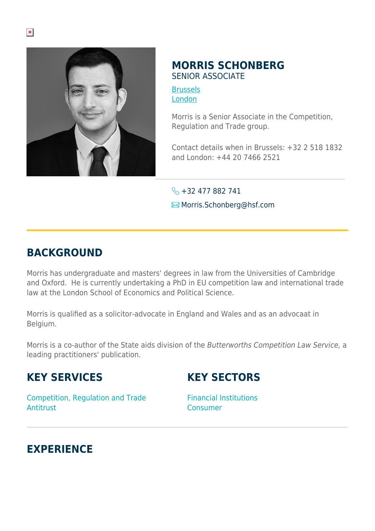

### **MORRIS SCHONBERG** SENIOR ASSOCIATE

**[Brussels](https://www.herbertsmithfreehills.com/lang-de/where-we-work/brussels)** [London](https://www.herbertsmithfreehills.com/lang-de/where-we-work/london)

Morris is a Senior Associate in the Competition, Regulation and Trade group.

Contact details when in Brussels: +32 2 518 1832 and London: +44 20 7466 2521

 $\leftarrow +32477882741$ Morris.Schonberg@hsf.com

# **BACKGROUND**

Morris has undergraduate and masters' degrees in law from the Universities of Cambridge and Oxford. He is currently undertaking a PhD in EU competition law and international trade law at the London School of Economics and Political Science.

Morris is qualified as a solicitor-advocate in England and Wales and as an advocaat in Belgium.

Morris is a co-author of the State aids division of the Butterworths Competition Law Service, a leading practitioners' publication.

# **KEY SERVICES**

### **KEY SECTORS**

Competition, Regulation and Trade Antitrust

Financial Institutions Consumer

# **EXPERIENCE**